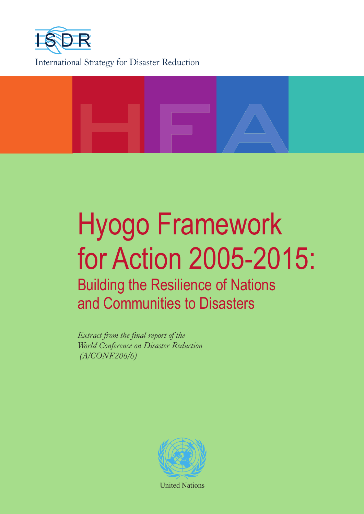



# Hyogo Framework for Action 2005-2015:

Building the Resilience of Nations and Communities to Disasters

*Extract from the final report of the World Conference on Disaster Reduction (A/CONF.206/6)*



United Nations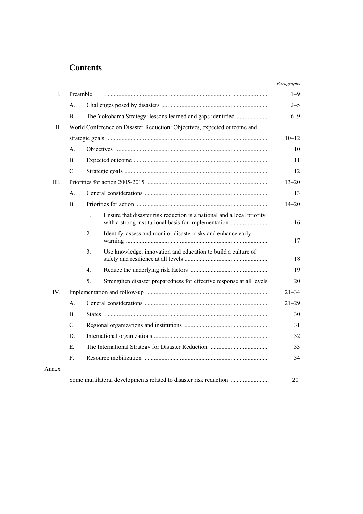# **Contents**

|       |                                                                          |                  |                                                                                                                                | Paragraphs |
|-------|--------------------------------------------------------------------------|------------------|--------------------------------------------------------------------------------------------------------------------------------|------------|
| L     | Preamble                                                                 |                  |                                                                                                                                |            |
|       | $A_{-}$                                                                  |                  |                                                                                                                                | $2 - 5$    |
|       | B <sub>1</sub>                                                           |                  | The Yokohama Strategy: lessons learned and gaps identified                                                                     | $6 - 9$    |
| П.    | World Conference on Disaster Reduction: Objectives, expected outcome and |                  |                                                                                                                                |            |
|       |                                                                          |                  |                                                                                                                                |            |
|       | А.                                                                       |                  |                                                                                                                                |            |
|       | B <sub>1</sub>                                                           |                  |                                                                                                                                |            |
|       | $\mathcal{C}$ .                                                          |                  |                                                                                                                                |            |
| Ш.    |                                                                          |                  |                                                                                                                                |            |
|       | $A_{-}$                                                                  |                  |                                                                                                                                |            |
|       | B <sub>1</sub>                                                           |                  |                                                                                                                                |            |
|       |                                                                          | 1.               | Ensure that disaster risk reduction is a national and a local priority<br>with a strong institutional basis for implementation | 16         |
|       |                                                                          | $\overline{2}$ . | Identify, assess and monitor disaster risks and enhance early                                                                  | 17         |
|       |                                                                          | 3.               | Use knowledge, innovation and education to build a culture of                                                                  | 18         |
|       |                                                                          | 4.               |                                                                                                                                | 19         |
|       |                                                                          | 5.               | Strengthen disaster preparedness for effective response at all levels                                                          | 20         |
| IV.   |                                                                          |                  |                                                                                                                                |            |
|       | А.                                                                       |                  |                                                                                                                                |            |
|       | B.                                                                       |                  |                                                                                                                                |            |
|       | $\mathcal{C}$ .                                                          |                  |                                                                                                                                |            |
|       | D.                                                                       |                  |                                                                                                                                |            |
|       | E.                                                                       |                  |                                                                                                                                |            |
|       | $F_{\cdot}$                                                              |                  |                                                                                                                                |            |
| Annex |                                                                          |                  |                                                                                                                                |            |
|       |                                                                          |                  | Some multilateral developments related to disaster risk reduction                                                              | 20         |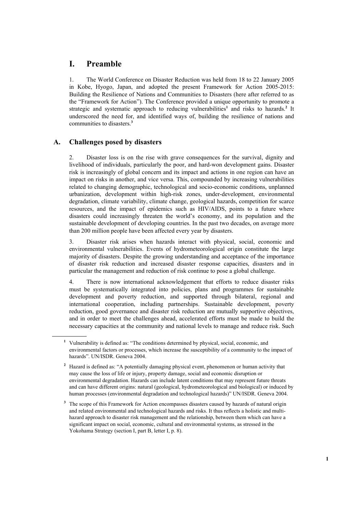# **I. Preamble**

1. The World Conference on Disaster Reduction was held from 18 to 22 January 2005 in Kobe, Hyogo, Japan, and adopted the present Framework for Action 2005-2015: Building the Resilience of Nations and Communities to Disasters (here after referred to as the "Framework for Action"). The Conference provided a unique opportunity to promote a strategic and systematic approach to reducing vulnerabilities<sup>1</sup> and risks to hazards.<sup>2</sup> It underscored the need for, and identified ways of, building the resilience of nations and communities to disasters.**<sup>3</sup>**

# **A. Challenges posed by disasters**

 $\overline{a}$ 

2. Disaster loss is on the rise with grave consequences for the survival, dignity and livelihood of individuals, particularly the poor, and hard-won development gains. Disaster risk is increasingly of global concern and its impact and actions in one region can have an impact on risks in another, and vice versa. This, compounded by increasing vulnerabilities related to changing demographic, technological and socio-economic conditions, unplanned urbanization, development within high-risk zones, under-development, environmental degradation, climate variability, climate change, geological hazards, competition for scarce resources, and the impact of epidemics such as HIV/AIDS, points to a future where disasters could increasingly threaten the world's economy, and its population and the sustainable development of developing countries. In the past two decades, on average more than 200 million people have been affected every year by disasters.

3. Disaster risk arises when hazards interact with physical, social, economic and environmental vulnerabilities. Events of hydrometeorological origin constitute the large majority of disasters. Despite the growing understanding and acceptance of the importance of disaster risk reduction and increased disaster response capacities, disasters and in particular the management and reduction of risk continue to pose a global challenge.

4. There is now international acknowledgement that efforts to reduce disaster risks must be systematically integrated into policies, plans and programmes for sustainable development and poverty reduction, and supported through bilateral, regional and international cooperation, including partnerships. Sustainable development, poverty reduction, good governance and disaster risk reduction are mutually supportive objectives, and in order to meet the challenges ahead, accelerated efforts must be made to build the necessary capacities at the community and national levels to manage and reduce risk. Such

<sup>&</sup>lt;sup>1</sup> Vulnerability is defined as: "The conditions determined by physical, social, economic, and environmental factors or processes, which increase the susceptibility of a community to the impact of hazards". UN/ISDR. Geneva 2004.

<sup>&</sup>lt;sup>2</sup> Hazard is defined as: "A potentially damaging physical event, phenomenon or human activity that may cause the loss of life or injury, property damage, social and economic disruption or environmental degradation. Hazards can include latent conditions that may represent future threats and can have different origins: natural (geological, hydrometeorological and biological) or induced by human processes (environmental degradation and technological hazards)" UN/ISDR. Geneva 2004.

**<sup>3</sup>** The scope of this Framework for Action encompasses disasters caused by hazards of natural origin and related environmental and technological hazards and risks. It thus reflects a holistic and multihazard approach to disaster risk management and the relationship, between them which can have a significant impact on social, economic, cultural and environmental systems, as stressed in the Yokohama Strategy (section I, part B, letter I, p. 8).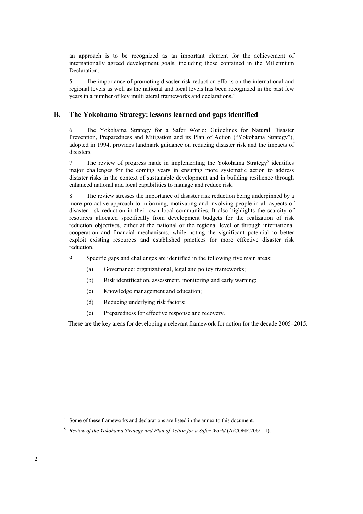an approach is to be recognized as an important element for the achievement of internationally agreed development goals, including those contained in the Millennium **Declaration** 

5. The importance of promoting disaster risk reduction efforts on the international and regional levels as well as the national and local levels has been recognized in the past few years in a number of key multilateral frameworks and declarations.**<sup>4</sup>**

# **B. The Yokohama Strategy: lessons learned and gaps identified**

6. The Yokohama Strategy for a Safer World: Guidelines for Natural Disaster Prevention, Preparedness and Mitigation and its Plan of Action ("Yokohama Strategy"), adopted in 1994, provides landmark guidance on reducing disaster risk and the impacts of disasters.

7. The review of progress made in implementing the Yokohama Strategy**<sup>5</sup>** identifies major challenges for the coming years in ensuring more systematic action to address disaster risks in the context of sustainable development and in building resilience through enhanced national and local capabilities to manage and reduce risk.

8. The review stresses the importance of disaster risk reduction being underpinned by a more pro-active approach to informing, motivating and involving people in all aspects of disaster risk reduction in their own local communities. It also highlights the scarcity of resources allocated specifically from development budgets for the realization of risk reduction objectives, either at the national or the regional level or through international cooperation and financial mechanisms, while noting the significant potential to better exploit existing resources and established practices for more effective disaster risk reduction.

9. Specific gaps and challenges are identified in the following five main areas:

- (a) Governance: organizational, legal and policy frameworks;
- (b) Risk identification, assessment, monitoring and early warning;
- (c) Knowledge management and education;
- (d) Reducing underlying risk factors;
- (e) Preparedness for effective response and recovery.

These are the key areas for developing a relevant framework for action for the decade 2005–2015.

<sup>&</sup>lt;sup>4</sup> Some of these frameworks and declarations are listed in the annex to this document.

**<sup>5</sup>** *Review of the Yokohama Strategy and Plan of Action for a Safer World* (A/CONF.206/L.1).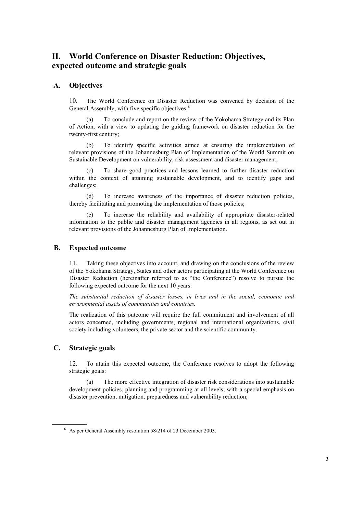# **II. World Conference on Disaster Reduction: Objectives, expected outcome and strategic goals**

# **A. Objectives**

10. The World Conference on Disaster Reduction was convened by decision of the General Assembly, with five specific objectives:**<sup>6</sup>**

 (a) To conclude and report on the review of the Yokohama Strategy and its Plan of Action, with a view to updating the guiding framework on disaster reduction for the twenty-first century;

 (b) To identify specific activities aimed at ensuring the implementation of relevant provisions of the Johannesburg Plan of Implementation of the World Summit on Sustainable Development on vulnerability, risk assessment and disaster management;

 (c) To share good practices and lessons learned to further disaster reduction within the context of attaining sustainable development, and to identify gaps and challenges;

 (d) To increase awareness of the importance of disaster reduction policies, thereby facilitating and promoting the implementation of those policies;

To increase the reliability and availability of appropriate disaster-related information to the public and disaster management agencies in all regions, as set out in relevant provisions of the Johannesburg Plan of Implementation.

# **B. Expected outcome**

11. Taking these objectives into account, and drawing on the conclusions of the review of the Yokohama Strategy, States and other actors participating at the World Conference on Disaster Reduction (hereinafter referred to as "the Conference") resolve to pursue the following expected outcome for the next 10 years:

*The substantial reduction of disaster losses, in lives and in the social, economic and environmental assets of communities and countries.* 

The realization of this outcome will require the full commitment and involvement of all actors concerned, including governments, regional and international organizations, civil society including volunteers, the private sector and the scientific community.

# **C. Strategic goals**

 $\overline{a}$ 

12. To attain this expected outcome, the Conference resolves to adopt the following strategic goals:

The more effective integration of disaster risk considerations into sustainable development policies, planning and programming at all levels, with a special emphasis on disaster prevention, mitigation, preparedness and vulnerability reduction;

**<sup>6</sup>** As per General Assembly resolution 58/214 of 23 December 2003.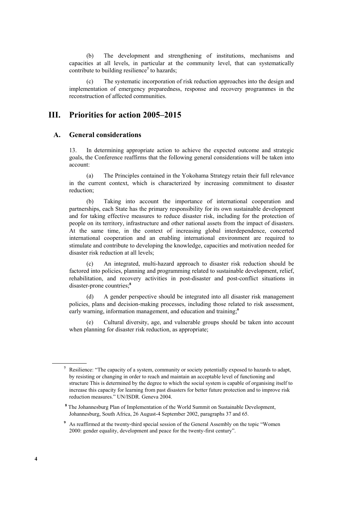(b) The development and strengthening of institutions, mechanisms and capacities at all levels, in particular at the community level, that can systematically contribute to building resilience**<sup>7</sup>** to hazards;

The systematic incorporation of risk reduction approaches into the design and implementation of emergency preparedness, response and recovery programmes in the reconstruction of affected communities.

# **III. Priorities for action 2005–2015**

#### **A. General considerations**

13. In determining appropriate action to achieve the expected outcome and strategic goals, the Conference reaffirms that the following general considerations will be taken into account:

 (a) The Principles contained in the Yokohama Strategy retain their full relevance in the current context, which is characterized by increasing commitment to disaster reduction;

 (b) Taking into account the importance of international cooperation and partnerships, each State has the primary responsibility for its own sustainable development and for taking effective measures to reduce disaster risk, including for the protection of people on its territory, infrastructure and other national assets from the impact of disasters. At the same time, in the context of increasing global interdependence, concerted international cooperation and an enabling international environment are required to stimulate and contribute to developing the knowledge, capacities and motivation needed for disaster risk reduction at all levels;

 (c) An integrated, multi-hazard approach to disaster risk reduction should be factored into policies, planning and programming related to sustainable development, relief, rehabilitation, and recovery activities in post-disaster and post-conflict situations in disaster-prone countries;**<sup>8</sup>**

 (d) A gender perspective should be integrated into all disaster risk management policies, plans and decision-making processes, including those related to risk assessment, early warning, information management, and education and training;<sup>9</sup>

 (e) Cultural diversity, age, and vulnerable groups should be taken into account when planning for disaster risk reduction, as appropriate;

<sup>&</sup>lt;sup>7</sup> Resilience: "The capacity of a system, community or society potentially exposed to hazards to adapt, by resisting or changing in order to reach and maintain an acceptable level of functioning and structure This is determined by the degree to which the social system is capable of organising itself to increase this capacity for learning from past disasters for better future protection and to improve risk reduction measures." UN/ISDR. Geneva 2004.

<sup>&</sup>lt;sup>8</sup> The Johannesburg Plan of Implementation of the World Summit on Sustainable Development, Johannesburg, South Africa, 26 August-4 September 2002, paragraphs 37 and 65.

<sup>&</sup>lt;sup>9</sup> As reaffirmed at the twenty-third special session of the General Assembly on the topic "Women" 2000: gender equality, development and peace for the twenty-first century".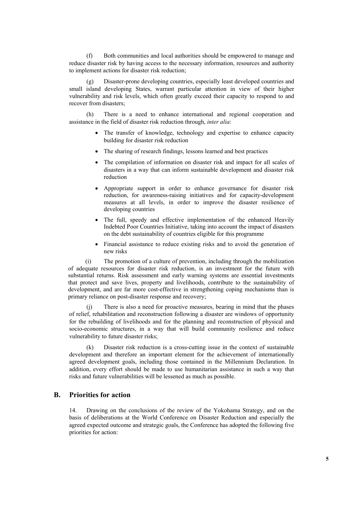(f) Both communities and local authorities should be empowered to manage and reduce disaster risk by having access to the necessary information, resources and authority to implement actions for disaster risk reduction;

Disaster-prone developing countries, especially least developed countries and small island developing States, warrant particular attention in view of their higher vulnerability and risk levels, which often greatly exceed their capacity to respond to and recover from disasters;

 (h) There is a need to enhance international and regional cooperation and assistance in the field of disaster risk reduction through, *inter alia*:

- The transfer of knowledge, technology and expertise to enhance capacity building for disaster risk reduction
- The sharing of research findings, lessons learned and best practices
- The compilation of information on disaster risk and impact for all scales of disasters in a way that can inform sustainable development and disaster risk reduction
- Appropriate support in order to enhance governance for disaster risk reduction, for awareness-raising initiatives and for capacity-development measures at all levels, in order to improve the disaster resilience of developing countries
- The full, speedy and effective implementation of the enhanced Heavily Indebted Poor Countries Initiative, taking into account the impact of disasters on the debt sustainability of countries eligible for this programme
- Financial assistance to reduce existing risks and to avoid the generation of new risks

(i) The promotion of a culture of prevention, including through the mobilization of adequate resources for disaster risk reduction, is an investment for the future with substantial returns. Risk assessment and early warning systems are essential investments that protect and save lives, property and livelihoods, contribute to the sustainability of development, and are far more cost-effective in strengthening coping mechanisms than is primary reliance on post-disaster response and recovery;

There is also a need for proactive measures, bearing in mind that the phases of relief, rehabilitation and reconstruction following a disaster are windows of opportunity for the rebuilding of livelihoods and for the planning and reconstruction of physical and socio-economic structures, in a way that will build community resilience and reduce vulnerability to future disaster risks;

 (k) Disaster risk reduction is a cross-cutting issue in the context of sustainable development and therefore an important element for the achievement of internationally agreed development goals, including those contained in the Millennium Declaration. In addition, every effort should be made to use humanitarian assistance in such a way that risks and future vulnerabilities will be lessened as much as possible.

# **B. Priorities for action**

14. Drawing on the conclusions of the review of the Yokohama Strategy, and on the basis of deliberations at the World Conference on Disaster Reduction and especially the agreed expected outcome and strategic goals, the Conference has adopted the following five priorities for action: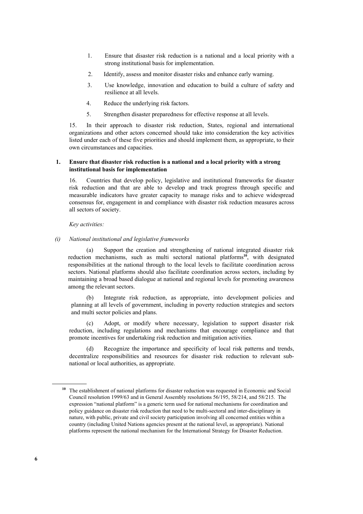- 1. Ensure that disaster risk reduction is a national and a local priority with a strong institutional basis for implementation.
- 2. Identify, assess and monitor disaster risks and enhance early warning.
- 3. Use knowledge, innovation and education to build a culture of safety and resilience at all levels.
- 4. Reduce the underlying risk factors.
- 5. Strengthen disaster preparedness for effective response at all levels.

15. In their approach to disaster risk reduction, States, regional and international organizations and other actors concerned should take into consideration the key activities listed under each of these five priorities and should implement them, as appropriate, to their own circumstances and capacities.

#### **1. Ensure that disaster risk reduction is a national and a local priority with a strong institutional basis for implementation**

16. Countries that develop policy, legislative and institutional frameworks for disaster risk reduction and that are able to develop and track progress through specific and measurable indicators have greater capacity to manage risks and to achieve widespread consensus for, engagement in and compliance with disaster risk reduction measures across all sectors of society.

#### *Key activities:*

#### *(i) National institutional and legislative frameworks*

 (a) Support the creation and strengthening of national integrated disaster risk reduction mechanisms, such as multi sectoral national platforms**<sup>10</sup>**, with designated responsibilities at the national through to the local levels to facilitate coordination across sectors. National platforms should also facilitate coordination across sectors, including by maintaining a broad based dialogue at national and regional levels for promoting awareness among the relevant sectors.

(b) Integrate risk reduction, as appropriate, into development policies and planning at all levels of government, including in poverty reduction strategies and sectors and multi sector policies and plans.

(c) Adopt, or modify where necessary, legislation to support disaster risk reduction, including regulations and mechanisms that encourage compliance and that promote incentives for undertaking risk reduction and mitigation activities.

Recognize the importance and specificity of local risk patterns and trends, decentralize responsibilities and resources for disaster risk reduction to relevant subnational or local authorities, as appropriate.

<sup>&</sup>lt;sup>10</sup> The establishment of national platforms for disaster reduction was requested in Economic and Social Council resolution 1999/63 and in General Assembly resolutions 56/195, 58/214, and 58/215. The expression "national platform" is a generic term used for national mechanisms for coordination and policy guidance on disaster risk reduction that need to be multi-sectoral and inter-disciplinary in nature, with public, private and civil society participation involving all concerned entities within a country (including United Nations agencies present at the national level, as appropriate). National platforms represent the national mechanism for the International Strategy for Disaster Reduction.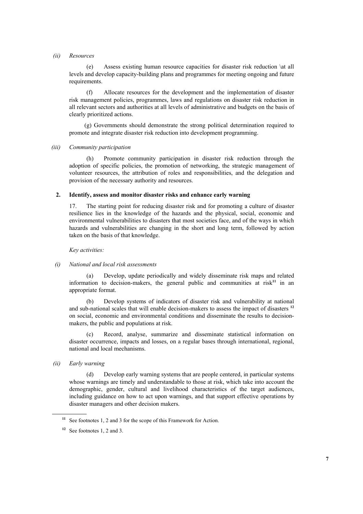#### *(ii) Resources*

 (e) Assess existing human resource capacities for disaster risk reduction \at all levels and develop capacity-building plans and programmes for meeting ongoing and future requirements.

 (f) Allocate resources for the development and the implementation of disaster risk management policies, programmes, laws and regulations on disaster risk reduction in all relevant sectors and authorities at all levels of administrative and budgets on the basis of clearly prioritized actions.

 (g) Governments should demonstrate the strong political determination required to promote and integrate disaster risk reduction into development programming.

#### *(iii) Community participation*

 (h) Promote community participation in disaster risk reduction through the adoption of specific policies, the promotion of networking, the strategic management of volunteer resources, the attribution of roles and responsibilities, and the delegation and provision of the necessary authority and resources.

#### **2. Identify, assess and monitor disaster risks and enhance early warning**

17. The starting point for reducing disaster risk and for promoting a culture of disaster resilience lies in the knowledge of the hazards and the physical, social, economic and environmental vulnerabilities to disasters that most societies face, and of the ways in which hazards and vulnerabilities are changing in the short and long term, followed by action taken on the basis of that knowledge.

#### *Key activities:*

#### *(i) National and local risk assessments*

 (a) Develop, update periodically and widely disseminate risk maps and related information to decision-makers, the general public and communities at risk<sup>11</sup> in an appropriate format.

Develop systems of indicators of disaster risk and vulnerability at national and sub-national scales that will enable decision-makers to assess the impact of disasters **<sup>12</sup>** on social, economic and environmental conditions and disseminate the results to decisionmakers, the public and populations at risk.

Record, analyse, summarize and disseminate statistical information on disaster occurrence, impacts and losses, on a regular bases through international, regional, national and local mechanisms.

 *(ii) Early warning* 

 $\overline{a}$ 

 (d) Develop early warning systems that are people centered, in particular systems whose warnings are timely and understandable to those at risk, which take into account the demographic, gender, cultural and livelihood characteristics of the target audiences, including guidance on how to act upon warnings, and that support effective operations by disaster managers and other decision makers.

**<sup>11</sup>** See footnotes 1, 2 and 3 for the scope of this Framework for Action.

**<sup>12</sup>** See footnotes 1, 2 and 3.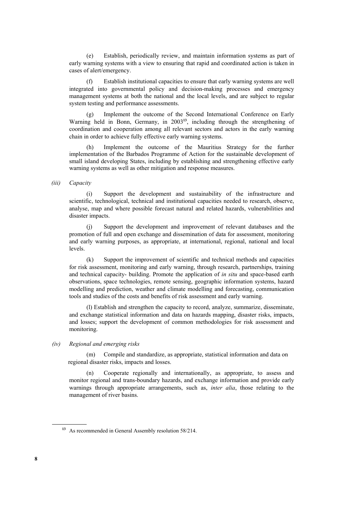(e) Establish, periodically review, and maintain information systems as part of early warning systems with a view to ensuring that rapid and coordinated action is taken in cases of alert/emergency.

 (f) Establish institutional capacities to ensure that early warning systems are well integrated into governmental policy and decision-making processes and emergency management systems at both the national and the local levels, and are subject to regular system testing and performance assessments.

 (g) Implement the outcome of the Second International Conference on Early Warning held in Bonn, Germany, in 2003**<sup>13</sup>**, including through the strengthening of coordination and cooperation among all relevant sectors and actors in the early warning chain in order to achieve fully effective early warning systems.

Implement the outcome of the Mauritius Strategy for the further implementation of the Barbados Programme of Action for the sustainable development of small island developing States, including by establishing and strengthening effective early warning systems as well as other mitigation and response measures.

#### *(iii) Capacity*

 (i) Support the development and sustainability of the infrastructure and scientific, technological, technical and institutional capacities needed to research, observe, analyse, map and where possible forecast natural and related hazards, vulnerabilities and disaster impacts.

 (j) Support the development and improvement of relevant databases and the promotion of full and open exchange and dissemination of data for assessment, monitoring and early warning purposes, as appropriate, at international, regional, national and local levels.

 (k) Support the improvement of scientific and technical methods and capacities for risk assessment, monitoring and early warning, through research, partnerships, training and technical capacity- building. Promote the application of *in situ* and space-based earth observations, space technologies, remote sensing, geographic information systems, hazard modelling and prediction, weather and climate modelling and forecasting, communication tools and studies of the costs and benefits of risk assessment and early warning.

(l) Establish and strengthen the capacity to record, analyze, summarize, disseminate, and exchange statistical information and data on hazards mapping, disaster risks, impacts, and losses; support the development of common methodologies for risk assessment and monitoring.

#### *(iv) Regional and emerging risks*

Compile and standardize, as appropriate, statistical information and data on regional disaster risks, impacts and losses.

 (n) Cooperate regionally and internationally, as appropriate, to assess and monitor regional and trans-boundary hazards, and exchange information and provide early warnings through appropriate arrangements, such as, *inter alia*, those relating to the management of river basins.

**<sup>13</sup>** As recommended in General Assembly resolution 58/214.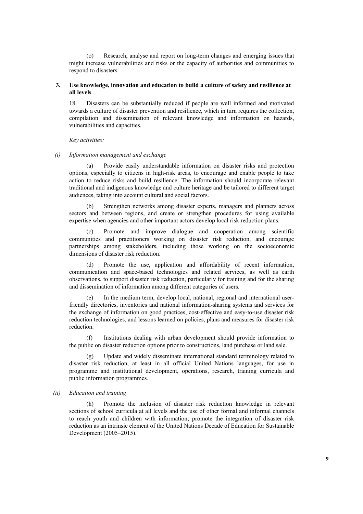(o) Research, analyse and report on long-term changes and emerging issues that might increase vulnerabilities and risks or the capacity of authorities and communities to respond to disasters.

#### **3. Use knowledge, innovation and education to build a culture of safety and resilience at all levels**

18. Disasters can be substantially reduced if people are well informed and motivated towards a culture of disaster prevention and resilience, which in turn requires the collection, compilation and dissemination of relevant knowledge and information on hazards, vulnerabilities and capacities.

#### *Key activities:*

#### *(i) Information management and exchange*

 (a) Provide easily understandable information on disaster risks and protection options, especially to citizens in high-risk areas, to encourage and enable people to take action to reduce risks and build resilience. The information should incorporate relevant traditional and indigenous knowledge and culture heritage and be tailored to different target audiences, taking into account cultural and social factors.

 (b) Strengthen networks among disaster experts, managers and planners across sectors and between regions, and create or strengthen procedures for using available expertise when agencies and other important actors develop local risk reduction plans.

Promote and improve dialogue and cooperation among scientific communities and practitioners working on disaster risk reduction, and encourage partnerships among stakeholders, including those working on the socioeconomic dimensions of disaster risk reduction.

 (d) Promote the use, application and affordability of recent information, communication and space-based technologies and related services, as well as earth observations, to support disaster risk reduction, particularly for training and for the sharing and dissemination of information among different categories of users.

In the medium term, develop local, national, regional and international userfriendly directories, inventories and national information-sharing systems and services for the exchange of information on good practices, cost-effective and easy-to-use disaster risk reduction technologies, and lessons learned on policies, plans and measures for disaster risk reduction.

 (f) Institutions dealing with urban development should provide information to the public on disaster reduction options prior to constructions, land purchase or land sale.

 (g) Update and widely disseminate international standard terminology related to disaster risk reduction, at least in all official United Nations languages, for use in programme and institutional development, operations, research, training curricula and public information programmes*.* 

#### *(ii) Education and training*

 (h) Promote the inclusion of disaster risk reduction knowledge in relevant sections of school curricula at all levels and the use of other formal and informal channels to reach youth and children with information; promote the integration of disaster risk reduction as an intrinsic element of the United Nations Decade of Education for Sustainable Development (2005–2015).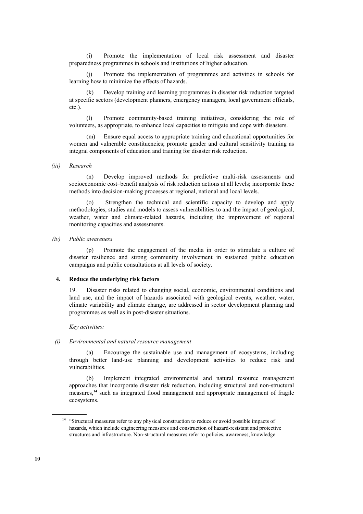(i) Promote the implementation of local risk assessment and disaster preparedness programmes in schools and institutions of higher education.

 (j) Promote the implementation of programmes and activities in schools for learning how to minimize the effects of hazards.

Develop training and learning programmes in disaster risk reduction targeted at specific sectors (development planners, emergency managers, local government officials, etc.).

 (l) Promote community-based training initiatives, considering the role of volunteers, as appropriate, to enhance local capacities to mitigate and cope with disasters.

 (m) Ensure equal access to appropriate training and educational opportunities for women and vulnerable constituencies; promote gender and cultural sensitivity training as integral components of education and training for disaster risk reduction.

#### *(iii) Research*

 (n) Develop improved methods for predictive multi-risk assessments and socioeconomic cost–benefit analysis of risk reduction actions at all levels; incorporate these methods into decision-making processes at regional, national and local levels.

Strengthen the technical and scientific capacity to develop and apply methodologies, studies and models to assess vulnerabilities to and the impact of geological, weather, water and climate-related hazards, including the improvement of regional monitoring capacities and assessments.

 *(iv) Public awareness* 

 (p) Promote the engagement of the media in order to stimulate a culture of disaster resilience and strong community involvement in sustained public education campaigns and public consultations at all levels of society.

#### **4. Reduce the underlying risk factors**

19. Disaster risks related to changing social, economic, environmental conditions and land use, and the impact of hazards associated with geological events, weather, water, climate variability and climate change, are addressed in sector development planning and programmes as well as in post-disaster situations.

 *Key activities:* 

#### *(i) Environmental and natural resource management*

Encourage the sustainable use and management of ecosystems, including through better land-use planning and development activities to reduce risk and vulnerabilities.

(b) Implement integrated environmental and natural resource management approaches that incorporate disaster risk reduction, including structural and non-structural measures,**<sup>14</sup>** such as integrated flood management and appropriate management of fragile ecosystems.

<sup>&</sup>lt;sup>14</sup> "Structural measures refer to any physical construction to reduce or avoid possible impacts of hazards, which include engineering measures and construction of hazard-resistant and protective structures and infrastructure. Non-structural measures refer to policies, awareness, knowledge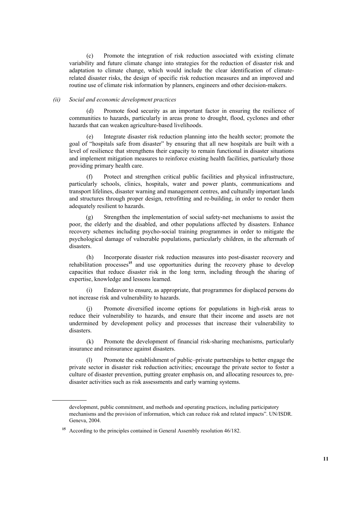(c) Promote the integration of risk reduction associated with existing climate variability and future climate change into strategies for the reduction of disaster risk and adaptation to climate change, which would include the clear identification of climaterelated disaster risks, the design of specific risk reduction measures and an improved and routine use of climate risk information by planners, engineers and other decision-makers.

#### *(ii) Social and economic development practices*

 (d) Promote food security as an important factor in ensuring the resilience of communities to hazards, particularly in areas prone to drought, flood, cyclones and other hazards that can weaken agriculture-based livelihoods.

 (e) Integrate disaster risk reduction planning into the health sector; promote the goal of "hospitals safe from disaster" by ensuring that all new hospitals are built with a level of resilience that strengthens their capacity to remain functional in disaster situations and implement mitigation measures to reinforce existing health facilities, particularly those providing primary health care.

 (f) Protect and strengthen critical public facilities and physical infrastructure, particularly schools, clinics, hospitals, water and power plants, communications and transport lifelines, disaster warning and management centres, and culturally important lands and structures through proper design, retrofitting and re-building, in order to render them adequately resilient to hazards.

Strengthen the implementation of social safety-net mechanisms to assist the poor, the elderly and the disabled, and other populations affected by disasters. Enhance recovery schemes including psycho-social training programmes in order to mitigate the psychological damage of vulnerable populations, particularly children, in the aftermath of disasters.

(h) Incorporate disaster risk reduction measures into post-disaster recovery and rehabilitation processes**<sup>15</sup>** and use opportunities during the recovery phase to develop capacities that reduce disaster risk in the long term, including through the sharing of expertise, knowledge and lessons learned.

 (i) Endeavor to ensure, as appropriate, that programmes for displaced persons do not increase risk and vulnerability to hazards.

 (j) Promote diversified income options for populations in high-risk areas to reduce their vulnerability to hazards, and ensure that their income and assets are not undermined by development policy and processes that increase their vulnerability to disasters.

 (k) Promote the development of financial risk-sharing mechanisms, particularly insurance and reinsurance against disasters.

 (l) Promote the establishment of public–private partnerships to better engage the private sector in disaster risk reduction activities; encourage the private sector to foster a culture of disaster prevention, putting greater emphasis on, and allocating resources to, predisaster activities such as risk assessments and early warning systems.

development, public commitment, and methods and operating practices, including participatory mechanisms and the provision of information, which can reduce risk and related impacts". UN/ISDR. Geneva, 2004.

**<sup>15</sup>** According to the principles contained in General Assembly resolution 46/182.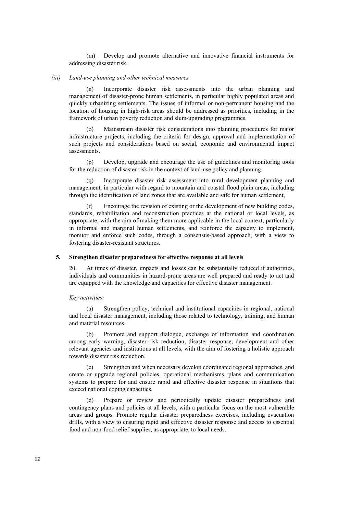(m) Develop and promote alternative and innovative financial instruments for addressing disaster risk.

#### *(iii) Land-use planning and other technical measures*

 (n) Incorporate disaster risk assessments into the urban planning and management of disaster-prone human settlements, in particular highly populated areas and quickly urbanizing settlements. The issues of informal or non-permanent housing and the location of housing in high-risk areas should be addressed as priorities, including in the framework of urban poverty reduction and slum-upgrading programmes.

 (o) Mainstream disaster risk considerations into planning procedures for major infrastructure projects, including the criteria for design, approval and implementation of such projects and considerations based on social, economic and environmental impact assessments.

 (p) Develop, upgrade and encourage the use of guidelines and monitoring tools for the reduction of disaster risk in the context of land-use policy and planning.

 (q) Incorporate disaster risk assessment into rural development planning and management, in particular with regard to mountain and coastal flood plain areas, including through the identification of land zones that are available and safe for human settlement,

 (r) Encourage the revision of existing or the development of new building codes, standards, rehabilitation and reconstruction practices at the national or local levels, as appropriate, with the aim of making them more applicable in the local context, particularly in informal and marginal human settlements, and reinforce the capacity to implement, monitor and enforce such codes, through a consensus-based approach, with a view to fostering disaster-resistant structures.

#### **5. Strengthen disaster preparedness for effective response at all levels**

20. At times of disaster, impacts and losses can be substantially reduced if authorities, individuals and communities in hazard-prone areas are well prepared and ready to act and are equipped with the knowledge and capacities for effective disaster management.

#### *Key activities:*

 (a) Strengthen policy, technical and institutional capacities in regional, national and local disaster management, including those related to technology, training, and human and material resources.

 (b) Promote and support dialogue, exchange of information and coordination among early warning, disaster risk reduction, disaster response, development and other relevant agencies and institutions at all levels, with the aim of fostering a holistic approach towards disaster risk reduction.

 (c) Strengthen and when necessary develop coordinated regional approaches, and create or upgrade regional policies, operational mechanisms, plans and communication systems to prepare for and ensure rapid and effective disaster response in situations that exceed national coping capacities.

 (d) Prepare or review and periodically update disaster preparedness and contingency plans and policies at all levels, with a particular focus on the most vulnerable areas and groups. Promote regular disaster preparedness exercises, including evacuation drills, with a view to ensuring rapid and effective disaster response and access to essential food and non-food relief supplies, as appropriate, to local needs.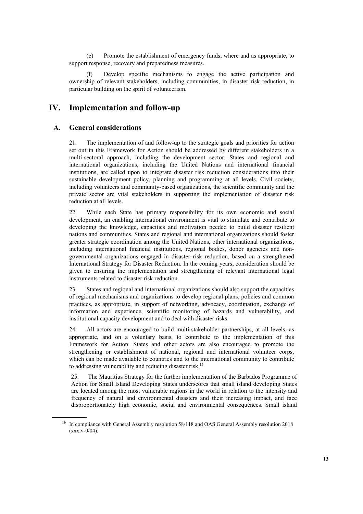(e) Promote the establishment of emergency funds, where and as appropriate, to support response, recovery and preparedness measures.

Develop specific mechanisms to engage the active participation and ownership of relevant stakeholders, including communities, in disaster risk reduction, in particular building on the spirit of volunteerism.

# **IV. Implementation and follow-up**

# **A. General considerations**

 $\overline{a}$ 

21. The implementation of and follow-up to the strategic goals and priorities for action set out in this Framework for Action should be addressed by different stakeholders in a multi-sectoral approach, including the development sector. States and regional and international organizations, including the United Nations and international financial institutions, are called upon to integrate disaster risk reduction considerations into their sustainable development policy, planning and programming at all levels. Civil society, including volunteers and community-based organizations, the scientific community and the private sector are vital stakeholders in supporting the implementation of disaster risk reduction at all levels.

22. While each State has primary responsibility for its own economic and social development, an enabling international environment is vital to stimulate and contribute to developing the knowledge, capacities and motivation needed to build disaster resilient nations and communities. States and regional and international organizations should foster greater strategic coordination among the United Nations, other international organizations, including international financial institutions, regional bodies, donor agencies and nongovernmental organizations engaged in disaster risk reduction, based on a strengthened International Strategy for Disaster Reduction. In the coming years, consideration should be given to ensuring the implementation and strengthening of relevant international legal instruments related to disaster risk reduction.

23. States and regional and international organizations should also support the capacities of regional mechanisms and organizations to develop regional plans, policies and common practices, as appropriate, in support of networking, advocacy, coordination, exchange of information and experience, scientific monitoring of hazards and vulnerability, and institutional capacity development and to deal with disaster risks.

24. All actors are encouraged to build multi-stakeholder partnerships, at all levels, as appropriate, and on a voluntary basis, to contribute to the implementation of this Framework for Action. States and other actors are also encouraged to promote the strengthening or establishment of national, regional and international volunteer corps, which can be made available to countries and to the international community to contribute to addressing vulnerability and reducing disaster risk.**<sup>16</sup>**

25. The Mauritius Strategy for the further implementation of the Barbados Programme of Action for Small Island Developing States underscores that small island developing States are located among the most vulnerable regions in the world in relation to the intensity and frequency of natural and environmental disasters and their increasing impact, and face disproportionately high economic, social and environmental consequences. Small island

<sup>&</sup>lt;sup>16</sup> In compliance with General Assembly resolution 58/118 and OAS General Assembly resolution 2018  $(xxxiv-0/04)$ .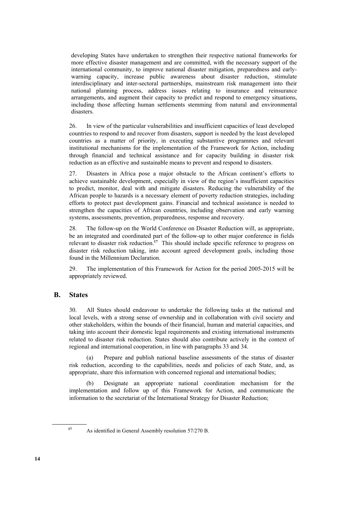developing States have undertaken to strengthen their respective national frameworks for more effective disaster management and are committed, with the necessary support of the international community, to improve national disaster mitigation, preparedness and earlywarning capacity, increase public awareness about disaster reduction, stimulate interdisciplinary and inter-sectoral partnerships, mainstream risk management into their national planning process, address issues relating to insurance and reinsurance arrangements, and augment their capacity to predict and respond to emergency situations, including those affecting human settlements stemming from natural and environmental disasters.

26. In view of the particular vulnerabilities and insufficient capacities of least developed countries to respond to and recover from disasters, support is needed by the least developed countries as a matter of priority, in executing substantive programmes and relevant institutional mechanisms for the implementation of the Framework for Action, including through financial and technical assistance and for capacity building in disaster risk reduction as an effective and sustainable means to prevent and respond to disasters.

27. Disasters in Africa pose a major obstacle to the African continent's efforts to achieve sustainable development, especially in view of the region's insufficient capacities to predict, monitor, deal with and mitigate disasters. Reducing the vulnerability of the African people to hazards is a necessary element of poverty reduction strategies, including efforts to protect past development gains. Financial and technical assistance is needed to strengthen the capacities of African countries, including observation and early warning systems, assessments, prevention, preparedness, response and recovery.

28. The follow-up on the World Conference on Disaster Reduction will, as appropriate, be an integrated and coordinated part of the follow-up to other major conference in fields relevant to disaster risk reduction.**<sup>17</sup>** This should include specific reference to progress on disaster risk reduction taking, into account agreed development goals, including those found in the Millennium Declaration.

29. The implementation of this Framework for Action for the period 2005-2015 will be appropriately reviewed.

#### **B. States**

30. All States should endeavour to undertake the following tasks at the national and local levels, with a strong sense of ownership and in collaboration with civil society and other stakeholders, within the bounds of their financial, human and material capacities, and taking into account their domestic legal requirements and existing international instruments related to disaster risk reduction. States should also contribute actively in the context of regional and international cooperation, in line with paragraphs 33 and 34.

 (a) Prepare and publish national baseline assessments of the status of disaster risk reduction, according to the capabilities, needs and policies of each State, and, as appropriate, share this information with concerned regional and international bodies;

 (b) Designate an appropriate national coordination mechanism for the implementation and follow up of this Framework for Action, and communicate the information to the secretariat of the International Strategy for Disaster Reduction;

**<sup>17</sup>** As identified in General Assembly resolution 57/270 B.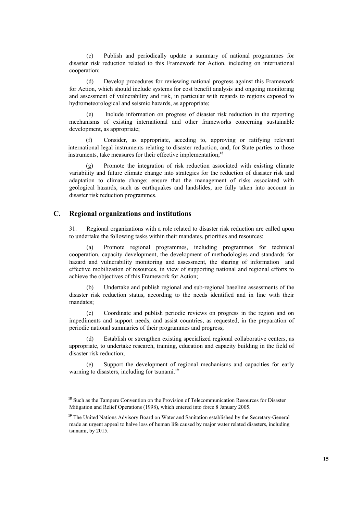(c) Publish and periodically update a summary of national programmes for disaster risk reduction related to this Framework for Action, including on international cooperation;

 (d) Develop procedures for reviewing national progress against this Framework for Action, which should include systems for cost benefit analysis and ongoing monitoring and assessment of vulnerability and risk, in particular with regards to regions exposed to hydrometeorological and seismic hazards, as appropriate;

 (e) Include information on progress of disaster risk reduction in the reporting mechanisms of existing international and other frameworks concerning sustainable development, as appropriate;

(f) Consider, as appropriate, acceding to, approving or ratifying relevant international legal instruments relating to disaster reduction, and, for State parties to those instruments, take measures for their effective implementation;**<sup>18</sup>**

(g) Promote the integration of risk reduction associated with existing climate variability and future climate change into strategies for the reduction of disaster risk and adaptation to climate change; ensure that the management of risks associated with geological hazards, such as earthquakes and landslides, are fully taken into account in disaster risk reduction programmes.

# **C. Regional organizations and institutions**

 $\overline{a}$ 

31. Regional organizations with a role related to disaster risk reduction are called upon to undertake the following tasks within their mandates, priorities and resources:

 (a) Promote regional programmes, including programmes for technical cooperation, capacity development, the development of methodologies and standards for hazard and vulnerability monitoring and assessment, the sharing of information and effective mobilization of resources, in view of supporting national and regional efforts to achieve the objectives of this Framework for Action;

Undertake and publish regional and sub-regional baseline assessments of the disaster risk reduction status, according to the needs identified and in line with their mandates;

 (c) Coordinate and publish periodic reviews on progress in the region and on impediments and support needs, and assist countries, as requested, in the preparation of periodic national summaries of their programmes and progress;

Establish or strengthen existing specialized regional collaborative centers, as appropriate, to undertake research, training, education and capacity building in the field of disaster risk reduction;

(e) Support the development of regional mechanisms and capacities for early warning to disasters, including for tsunami.**<sup>19</sup>**

**<sup>18</sup>** Such as the Tampere Convention on the Provision of Telecommunication Resources for Disaster Mitigation and Relief Operations (1998), which entered into force 8 January 2005.

<sup>&</sup>lt;sup>19</sup> The United Nations Advisory Board on Water and Sanitation established by the Secretary-General made an urgent appeal to halve loss of human life caused by major water related disasters, including tsunami, by 2015.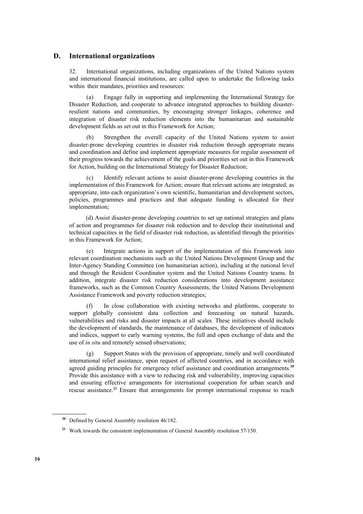#### **D. International organizations**

32. International organizations, including organizations of the United Nations system and international financial institutions, are called upon to undertake the following tasks within their mandates, priorities and resources:

 (a) Engage fully in supporting and implementing the International Strategy for Disaster Reduction, and cooperate to advance integrated approaches to building disasterresilient nations and communities, by encouraging stronger linkages, coherence and integration of disaster risk reduction elements into the humanitarian and sustainable development fields as set out in this Framework for Action;

 (b) Strengthen the overall capacity of the United Nations system to assist disaster-prone developing countries in disaster risk reduction through appropriate means and coordination and define and implement appropriate measures for regular assessment of their progress towards the achievement of the goals and priorities set out in this Framework for Action, building on the International Strategy for Disaster Reduction;

Identify relevant actions to assist disaster-prone developing countries in the implementation of this Framework for Action; ensure that relevant actions are integrated, as appropriate, into each organization's own scientific, humanitarian and development sectors, policies, programmes and practices and that adequate funding is allocated for their implementation;

 (d) Assist disaster-prone developing countries to set up national strategies and plans of action and programmes for disaster risk reduction and to develop their institutional and technical capacities in the field of disaster risk reduction, as identified through the priorities in this Framework for Action;

 (e) Integrate actions in support of the implementation of this Framework into relevant coordination mechanisms such as the United Nations Development Group and the Inter-Agency Standing Committee (on humanitarian action), including at the national level and through the Resident Coordinator system and the United Nations Country teams. In addition, integrate disaster risk reduction considerations into development assistance frameworks, such as the Common Country Assessments, the United Nations Development Assistance Framework and poverty reduction strategies;

 (f) In close collaboration with existing networks and platforms, cooperate to support globally consistent data collection and forecasting on natural hazards, vulnerabilities and risks and disaster impacts at all scales. These initiatives should include the development of standards, the maintenance of databases, the development of indicators and indices, support to early warning systems, the full and open exchange of data and the use of *in situ* and remotely sensed observations;

 (g) Support States with the provision of appropriate, timely and well coordinated international relief assistance, upon request of affected countries, and in accordance with agreed guiding principles for emergency relief assistance and coordination arrangements.**<sup>20</sup>** Provide this assistance with a view to reducing risk and vulnerability, improving capacities and ensuring effective arrangements for international cooperation for urban search and rescue assistance.**<sup>21</sup>** Ensure that arrangements for prompt international response to reach

**<sup>20</sup>** Defined by General Assembly resolution 46/182.

<sup>&</sup>lt;sup>21</sup> Work towards the consistent implementation of General Assembly resolution 57/150.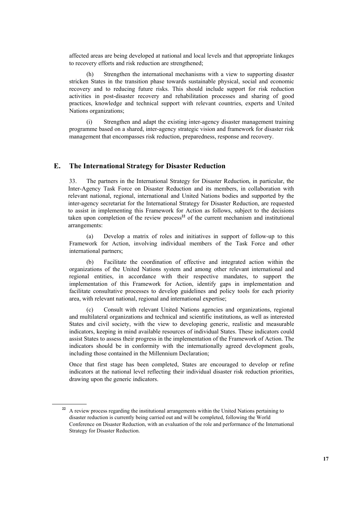affected areas are being developed at national and local levels and that appropriate linkages to recovery efforts and risk reduction are strengthened;

 (h) Strengthen the international mechanisms with a view to supporting disaster stricken States in the transition phase towards sustainable physical, social and economic recovery and to reducing future risks. This should include support for risk reduction activities in post-disaster recovery and rehabilitation processes and sharing of good practices, knowledge and technical support with relevant countries, experts and United Nations organizations;

 (i) Strengthen and adapt the existing inter-agency disaster management training programme based on a shared, inter-agency strategic vision and framework for disaster risk management that encompasses risk reduction, preparedness, response and recovery.

#### **E. The International Strategy for Disaster Reduction**

33. The partners in the International Strategy for Disaster Reduction, in particular, the Inter-Agency Task Force on Disaster Reduction and its members, in collaboration with relevant national, regional, international and United Nations bodies and supported by the inter-agency secretariat for the International Strategy for Disaster Reduction, are requested to assist in implementing this Framework for Action as follows, subject to the decisions taken upon completion of the review process<sup> $22$ </sup> of the current mechanism and institutional arrangements:

 (a) Develop a matrix of roles and initiatives in support of follow-up to this Framework for Action, involving individual members of the Task Force and other international partners;

 (b) Facilitate the coordination of effective and integrated action within the organizations of the United Nations system and among other relevant international and regional entities, in accordance with their respective mandates, to support the implementation of this Framework for Action, identify gaps in implementation and facilitate consultative processes to develop guidelines and policy tools for each priority area, with relevant national, regional and international expertise;

 (c) Consult with relevant United Nations agencies and organizations, regional and multilateral organizations and technical and scientific institutions, as well as interested States and civil society, with the view to developing generic, realistic and measurable indicators, keeping in mind available resources of individual States. These indicators could assist States to assess their progress in the implementation of the Framework of Action. The indicators should be in conformity with the internationally agreed development goals, including those contained in the Millennium Declaration;

Once that first stage has been completed, States are encouraged to develop or refine indicators at the national level reflecting their individual disaster risk reduction priorities, drawing upon the generic indicators.

<sup>&</sup>lt;sup>22</sup> A review process regarding the institutional arrangements within the United Nations pertaining to disaster reduction is currently being carried out and will be completed, following the World Conference on Disaster Reduction, with an evaluation of the role and performance of the International Strategy for Disaster Reduction.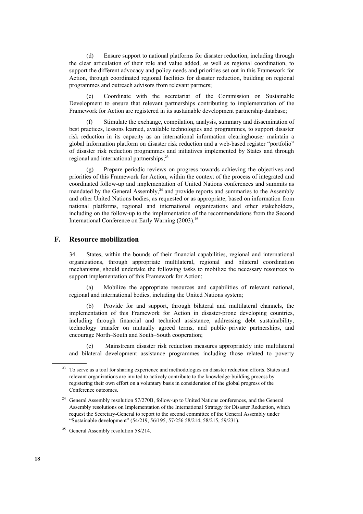(d) Ensure support to national platforms for disaster reduction, including through the clear articulation of their role and value added, as well as regional coordination, to support the different advocacy and policy needs and priorities set out in this Framework for Action, through coordinated regional facilities for disaster reduction, building on regional programmes and outreach advisors from relevant partners;

 (e) Coordinate with the secretariat of the Commission on Sustainable Development to ensure that relevant partnerships contributing to implementation of the Framework for Action are registered in its sustainable development partnership database;

Stimulate the exchange, compilation, analysis, summary and dissemination of best practices, lessons learned, available technologies and programmes, to support disaster risk reduction in its capacity as an international information clearinghouse*;* maintain a global information platform on disaster risk reduction and a web-based register "portfolio" of disaster risk reduction programmes and initiatives implemented by States and through regional and international partnerships;**<sup>23</sup>**

 (g) Prepare periodic reviews on progress towards achieving the objectives and priorities of this Framework for Action, within the context of the process of integrated and coordinated follow-up and implementation of United Nations conferences and summits as mandated by the General Assembly,**<sup>24</sup>** and provide reports and summaries to the Assembly and other United Nations bodies, as requested or as appropriate, based on information from national platforms, regional and international organizations and other stakeholders, including on the follow-up to the implementation of the recommendations from the Second International Conference on Early Warning (2003).**<sup>25</sup>**

# **F. Resource mobilization**

34. States, within the bounds of their financial capabilities, regional and international organizations, through appropriate multilateral, regional and bilateral coordination mechanisms, should undertake the following tasks to mobilize the necessary resources to support implementation of this Framework for Action:

 (a) Mobilize the appropriate resources and capabilities of relevant national, regional and international bodies, including the United Nations system;

 (b) Provide for and support, through bilateral and multilateral channels, the implementation of this Framework for Action in disaster-prone developing countries, including through financial and technical assistance, addressing debt sustainability, technology transfer on mutually agreed terms, and public–private partnerships, and encourage North–South and South–South cooperation;

 (c) Mainstream disaster risk reduction measures appropriately into multilateral and bilateral development assistance programmes including those related to poverty

<sup>&</sup>lt;sup>23</sup> To serve as a tool for sharing experience and methodologies on disaster reduction efforts. States and relevant organizations are invited to actively contribute to the knowledge-building process by registering their own effort on a voluntary basis in consideration of the global progress of the Conference outcomes.

<sup>&</sup>lt;sup>24</sup> General Assembly resolution 57/270B, follow-up to United Nations conferences, and the General Assembly resolutions on Implementation of the International Strategy for Disaster Reduction, which request the Secretary-General to report to the second committee of the General Assembly under "Sustainable development" (54/219, 56/195, 57/256 58/214, 58/215, 59/231).

**<sup>25</sup>** General Assembly resolution 58/214.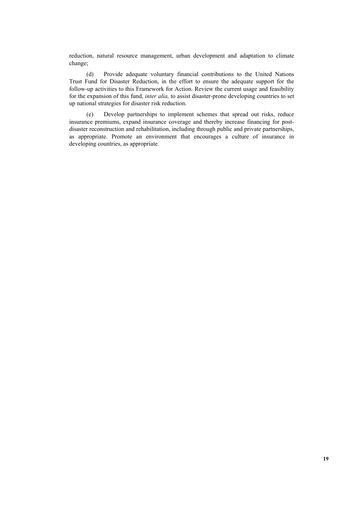reduction, natural resource management, urban development and adaptation to climate change;

 (d) Provide adequate voluntary financial contributions to the United Nations Trust Fund for Disaster Reduction, in the effort to ensure the adequate support for the follow-up activities to this Framework for Action. Review the current usage and feasibility for the expansion of this fund, *inter alia,* to assist disaster-prone developing countries to set up national strategies for disaster risk reduction.

 (e) Develop partnerships to implement schemes that spread out risks, reduce insurance premiums, expand insurance coverage and thereby increase financing for postdisaster reconstruction and rehabilitation, including through public and private partnerships, as appropriate. Promote an environment that encourages a culture of insurance in developing countries, as appropriate.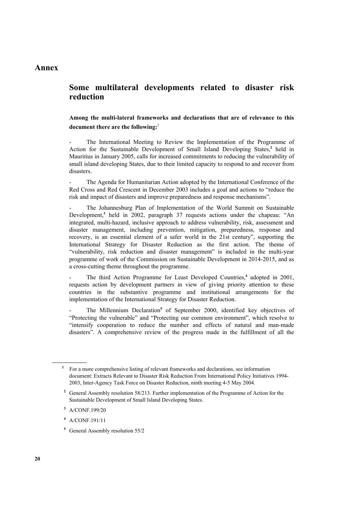# **Annex**

# **Some multilateral developments related to disaster risk reduction**

**Among the multi-lateral frameworks and declarations that are of relevance to this document there are the following:**<sup>1</sup>

- The International Meeting to Review the Implementation of the Programme of Action for the Sustainable Development of Small Island Developing States,<sup>2</sup> held in Mauritius in January 2005, calls for increased commitments to reducing the vulnerability of small island developing States, due to their limited capacity to respond to and recover from disasters.

The Agenda for Humanitarian Action adopted by the International Conference of the Red Cross and Red Crescent in December 2003 includes a goal and actions to "reduce the risk and impact of disasters and improve preparedness and response mechanisms".

The Johannesburg Plan of Implementation of the World Summit on Sustainable Development,**<sup>3</sup>** held in 2002, paragraph 37 requests actions under the chapeau: "An integrated, multi-hazard, inclusive approach to address vulnerability, risk, assessment and disaster management, including prevention, mitigation, preparedness, response and recovery, is an essential element of a safer world in the 21st century", supporting the International Strategy for Disaster Reduction as the first action. The theme of "vulnerability, risk reduction and disaster management" is included in the multi-year programme of work of the Commission on Sustainable Development in 2014-2015, and as a cross-cutting theme throughout the programme.

- The third Action Programme for Least Developed Countries,<sup>4</sup> adopted in 2001, requests action by development partners in view of giving priority attention to these countries in the substantive programme and institutional arrangements for the implementation of the International Strategy for Disaster Reduction.

- The Millennium Declaration<sup>5</sup> of September 2000, identified key objectives of "Protecting the vulnerable" and "Protecting our common environment", which resolve to "intensify cooperation to reduce the number and effects of natural and man-made disasters". A comprehensive review of the progress made in the fulfillment of all the

**<sup>1</sup>** For a more comprehensive listing of relevant frameworks and declarations, see information document: Extracts Relevant to Disaster Risk Reduction From International Policy Initiatives 1994- 2003, Inter-Agency Task Force on Disaster Reduction, ninth meeting 4-5 May 2004.

<sup>&</sup>lt;sup>2</sup> General Assembly resolution 58/213. Further implementation of the Programme of Action for the Sustainable Development of Small Island Developing States.

**<sup>3</sup>** A/CONF.199/20

**<sup>4</sup>** A/CONF.191/11

**<sup>5</sup>** General Assembly resolution 55/2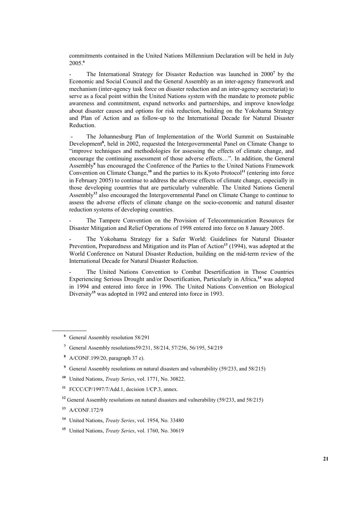commitments contained in the United Nations Millennium Declaration will be held in July 2005.**<sup>6</sup>**

- The International Strategy for Disaster Reduction was launched in 2000<sup>7</sup> by the Economic and Social Council and the General Assembly as an inter-agency framework and mechanism (inter-agency task force on disaster reduction and an inter-agency secretariat) to serve as a focal point within the United Nations system with the mandate to promote public awareness and commitment, expand networks and partnerships, and improve knowledge about disaster causes and options for risk reduction, building on the Yokohama Strategy and Plan of Action and as follow-up to the International Decade for Natural Disaster Reduction.

The Johannesburg Plan of Implementation of the World Summit on Sustainable Development<sup>8</sup>, held in 2002, requested the Intergovernmental Panel on Climate Change to "improve techniques and methodologies for assessing the effects of climate change, and encourage the continuing assessment of those adverse effects…". In addition, the General Assembly**<sup>9</sup>** has encouraged the Conference of the Parties to the United Nations Framework Convention on Climate Change,**<sup>10</sup>** and the parties to its Kyoto Protocol**<sup>11</sup>** (entering into force in February 2005) to continue to address the adverse effects of climate change, especially in those developing countries that are particularly vulnerable. The United Nations General Assembly**<sup>12</sup>** also encouraged the Intergovernmental Panel on Climate Change to continue to assess the adverse effects of climate change on the socio-economic and natural disaster reduction systems of developing countries.

The Tampere Convention on the Provision of Telecommunication Resources for Disaster Mitigation and Relief Operations of 1998 entered into force on 8 January 2005.

The Yokohama Strategy for a Safer World: Guidelines for Natural Disaster Prevention, Preparedness and Mitigation and its Plan of Action<sup>13</sup> (1994), was adopted at the World Conference on Natural Disaster Reduction, building on the mid-term review of the International Decade for Natural Disaster Reduction.

The United Nations Convention to Combat Desertification in Those Countries Experiencing Serious Drought and/or Desertification, Particularly in Africa,**<sup>14</sup>** was adopted in 1994 and entered into force in 1996. The United Nations Convention on Biological Diversity**<sup>15</sup>** was adopted in 1992 and entered into force in 1993.

**<sup>6</sup>** General Assembly resolution 58/291

**<sup>7</sup>** General Assembly resolutions59/231, 58/214, 57/256, 56/195, 54/219

**<sup>8</sup>** A/CONF.199/20, paragraph 37 e).

<sup>&</sup>lt;sup>9</sup> General Assembly resolutions on natural disasters and vulnerability (59/233, and 58/215)

**<sup>10</sup>** United Nations, *Treaty Series*, vol. 1771, No. 30822.

**<sup>11</sup>** FCCC/CP/1997/7/Add.1, decision 1/CP.3, annex.

<sup>&</sup>lt;sup>12</sup> General Assembly resolutions on natural disasters and vulnerability (59/233, and 58/215)

**<sup>13</sup>** A/CONF.172/9

**<sup>14</sup>** United Nations, *Treaty Series*, vol. 1954, No. 33480

**<sup>15</sup>** United Nations, *Treaty Series*, vol. 1760, No. 30619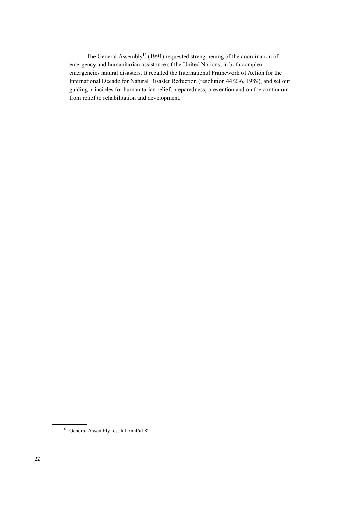**-** The General Assembly**<sup>16</sup>** (1991) requested strengthening of the coordination of emergency and humanitarian assistance of the United Nations, in both complex emergencies natural disasters. It recalled the International Framework of Action for the International Decade for Natural Disaster Reduction (resolution 44/236, 1989), and set out guiding principles for humanitarian relief, preparedness, prevention and on the continuum from relief to rehabilitation and development.

**<sup>16</sup>** General Assembly resolution 46/182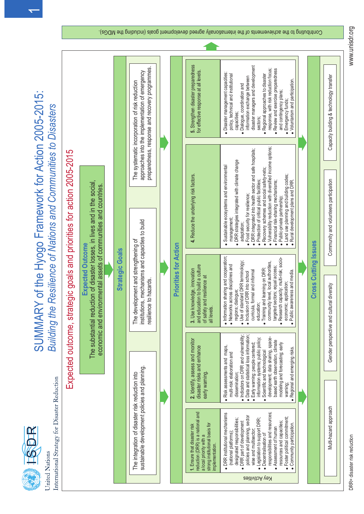

ၯ  $\Box$  $\geq$  $\mathbf{\Sigma}% _{T}$  $\prec$  :  $\bf \widetilde{K}$  . of th  $\mathbf \Phi$ 工  $\blacktriangleright$ o $\mathbf{\Omega}$ oFra $\mathbf \Xi$ eworkfo r $\prec$  . ctio  $\subset$  $\sim$  $\bullet$  $\bullet$  $\frac{2}{5}$  . 015: *Buildin g th eResilie nceofNatio nsandCommunitie s to Dis aste*

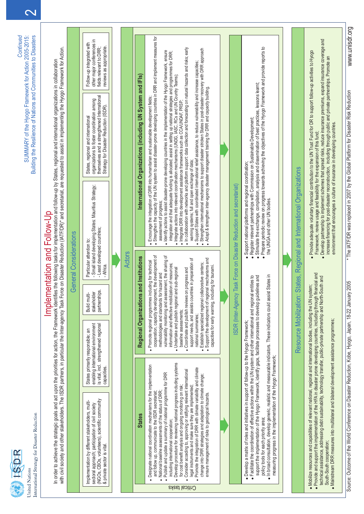|                | nternational Strategy for Disaster Reduction |
|----------------|----------------------------------------------|
| Jnited Nations |                                              |
|                |                                              |

2

# Implementation and Follow-Up mplementation and Follow-U

In order to achieve the strategic goals and act upon the priorities for action, the Framework identifies the following tasks for implementation and follow-up by States, regional and international organizations in collabora